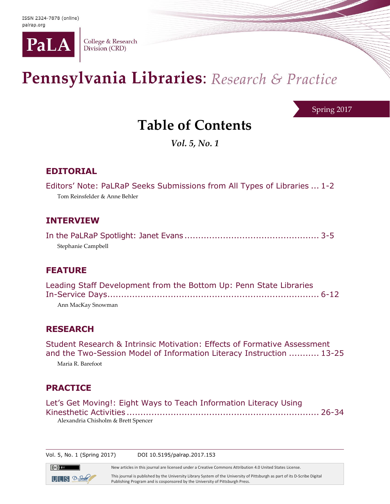

College & Research Division (CRD)

# Pennsylvania Libraries: Research & Practice

Spring 2017

## **Table of Contents**

*Vol. 5, No. 1*

## **EDITORIAL**

Editors' Note: PaLRaP Seeks Submissions from All Types of Libraries ... 1-2

Tom Reinsfelder & Anne Behler

#### **INTERVIEW**

In the PaLRaP Spotlight: Janet Evans ................................................. 3-5 Stephanie Campbell

## **FEATURE**

| Leading Staff Development from the Bottom Up: Penn State Libraries |  |
|--------------------------------------------------------------------|--|
|                                                                    |  |
| Ann MacKay Snowman                                                 |  |

## **RESEARCH**

Student Research & Intrinsic Motivation: Effects of Formative Assessment and the Two-Session Model of Information Literacy Instruction ........... 13-25 Maria R. Barefoot

## **PRACTICE**

 $\left(\mathrm{cc}\right)$  BY

 $ULI S 2$ -Sorbe

| Let's Get Moving!: Eight Ways to Teach Information Literacy Using |  |
|-------------------------------------------------------------------|--|
|                                                                   |  |
| Alexandria Chisholm & Brett Spencer                               |  |

Vol. 5, No. 1 (Spring 2017) DOI 10.5195/palrap.2017.153

New articles in this journal are licensed under a Creative Commons Attribution 4.0 United States License.

This journal is published by the University Library System of the University of Pittsburgh as part of its D-Scribe Digital Publishing Program and is cosponsored by the University of Pittsburgh Press.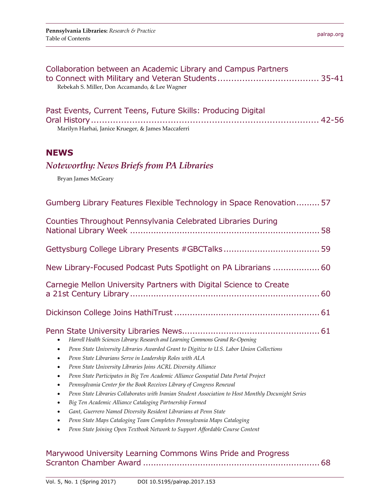#### Marywood University Learning Commons Wins Pride and Progress Scranton Chamber Award ....................................................................68